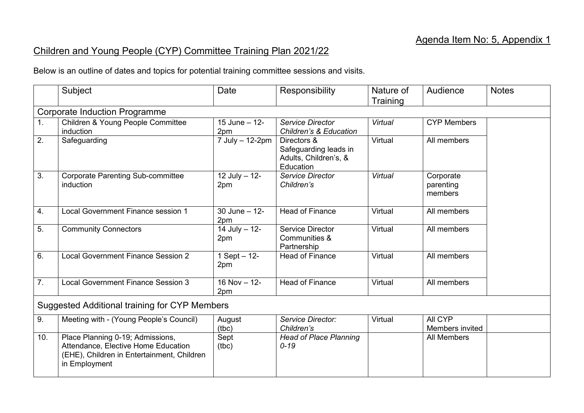## Children and Young People (CYP) Committee Training Plan 2021/22

Below is an outline of dates and topics for potential training committee sessions and visits.

|                                                      | Subject                                                                                                                                | Date                     | Responsibility                                                             | Nature of<br>Training | Audience                          | <b>Notes</b> |  |  |  |  |
|------------------------------------------------------|----------------------------------------------------------------------------------------------------------------------------------------|--------------------------|----------------------------------------------------------------------------|-----------------------|-----------------------------------|--------------|--|--|--|--|
| <b>Corporate Induction Programme</b>                 |                                                                                                                                        |                          |                                                                            |                       |                                   |              |  |  |  |  |
| 1 <sub>1</sub>                                       | Children & Young People Committee<br>induction                                                                                         | 15 June $- 12$ -<br>2pm  | Service Director<br><b>Children's &amp; Education</b>                      | Virtual               | <b>CYP Members</b>                |              |  |  |  |  |
| 2.                                                   | Safeguarding                                                                                                                           | $7$ July - 12-2pm        | Directors &<br>Safeguarding leads in<br>Adults, Children's, &<br>Education | Virtual               | All members                       |              |  |  |  |  |
| 3.                                                   | <b>Corporate Parenting Sub-committee</b><br>induction                                                                                  | 12 July - 12-<br>2pm     | Service Director<br>Children's                                             | Virtual               | Corporate<br>parenting<br>members |              |  |  |  |  |
| 4.                                                   | Local Government Finance session 1                                                                                                     | 30 June - 12-<br>2pm     | <b>Head of Finance</b>                                                     | Virtual               | All members                       |              |  |  |  |  |
| 5.                                                   | <b>Community Connectors</b>                                                                                                            | 14 July - 12-<br>2pm     | <b>Service Director</b><br>Communities &<br>Partnership                    | Virtual               | All members                       |              |  |  |  |  |
| 6.                                                   | <b>Local Government Finance Session 2</b>                                                                                              | $1$ Sept $- 12$ -<br>2pm | <b>Head of Finance</b>                                                     | Virtual               | All members                       |              |  |  |  |  |
| 7.                                                   | <b>Local Government Finance Session 3</b>                                                                                              | 16 Nov - 12-<br>2pm      | <b>Head of Finance</b>                                                     | Virtual               | All members                       |              |  |  |  |  |
| <b>Suggested Additional training for CYP Members</b> |                                                                                                                                        |                          |                                                                            |                       |                                   |              |  |  |  |  |
| 9.                                                   | Meeting with - (Young People's Council)                                                                                                | August<br>(tbc)          | Service Director:<br>Children's                                            | Virtual               | All CYP<br>Members invited        |              |  |  |  |  |
| 10.                                                  | Place Planning 0-19; Admissions,<br>Attendance, Elective Home Education<br>(EHE), Children in Entertainment, Children<br>in Employment | Sept<br>(tbc)            | <b>Head of Place Planning</b><br>$0 - 19$                                  |                       | <b>All Members</b>                |              |  |  |  |  |